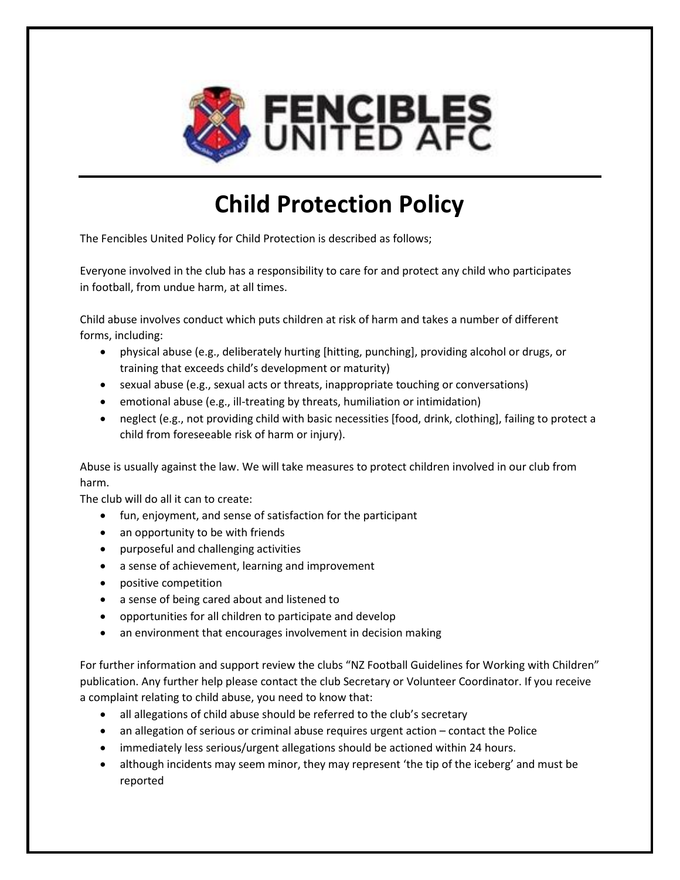

# **Child Protection Policy**

The Fencibles United Policy for Child Protection is described as follows;

Everyone involved in the club has a responsibility to care for and protect any child who participates in football, from undue harm, at all times.

Child abuse involves conduct which puts children at risk of harm and takes a number of different forms, including:

- physical abuse (e.g., deliberately hurting [hitting, punching], providing alcohol or drugs, or training that exceeds child's development or maturity)
- sexual abuse (e.g., sexual acts or threats, inappropriate touching or conversations)
- emotional abuse (e.g., ill-treating by threats, humiliation or intimidation)
- neglect (e.g., not providing child with basic necessities [food, drink, clothing], failing to protect a child from foreseeable risk of harm or injury).

Abuse is usually against the law. We will take measures to protect children involved in our club from harm.

The club will do all it can to create:

- fun, enjoyment, and sense of satisfaction for the participant
- an opportunity to be with friends
- purposeful and challenging activities
- a sense of achievement, learning and improvement
- positive competition
- a sense of being cared about and listened to
- opportunities for all children to participate and develop
- an environment that encourages involvement in decision making

For further information and support review the clubs "NZ Football Guidelines for Working with Children" publication. Any further help please contact the club Secretary or Volunteer Coordinator. If you receive a complaint relating to child abuse, you need to know that:

- all allegations of child abuse should be referred to the club's secretary
- an allegation of serious or criminal abuse requires urgent action contact the Police
- immediately less serious/urgent allegations should be actioned within 24 hours.
- although incidents may seem minor, they may represent 'the tip of the iceberg' and must be reported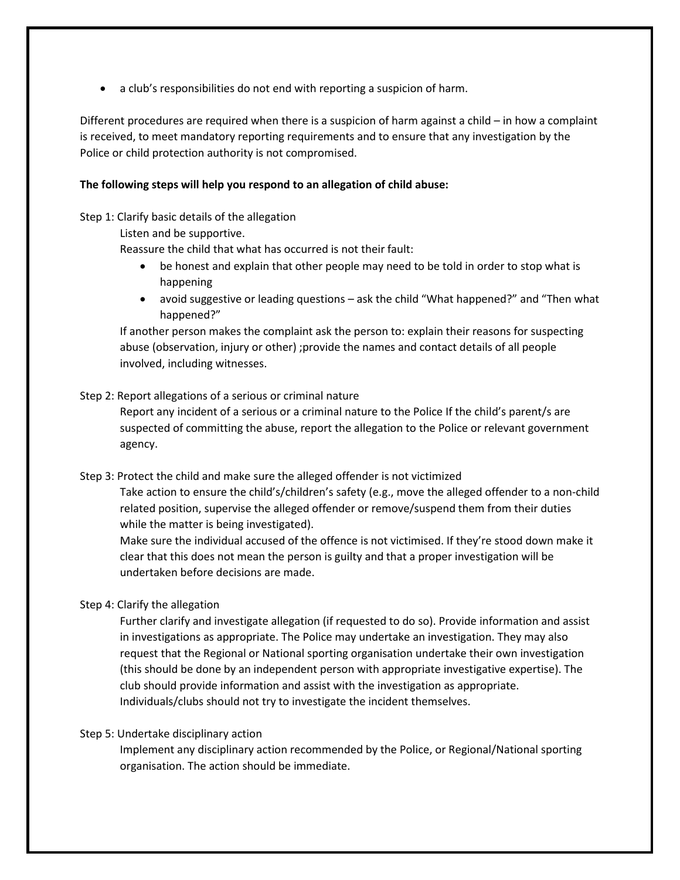• a club's responsibilities do not end with reporting a suspicion of harm.

Different procedures are required when there is a suspicion of harm against a child – in how a complaint is received, to meet mandatory reporting requirements and to ensure that any investigation by the Police or child protection authority is not compromised.

## **The following steps will help you respond to an allegation of child abuse:**

Step 1: Clarify basic details of the allegation

Listen and be supportive.

Reassure the child that what has occurred is not their fault:

- be honest and explain that other people may need to be told in order to stop what is happening
- avoid suggestive or leading questions ask the child "What happened?" and "Then what happened?"

If another person makes the complaint ask the person to: explain their reasons for suspecting abuse (observation, injury or other) ;provide the names and contact details of all people involved, including witnesses.

### Step 2: Report allegations of a serious or criminal nature

Report any incident of a serious or a criminal nature to the Police If the child's parent/s are suspected of committing the abuse, report the allegation to the Police or relevant government agency.

Step 3: Protect the child and make sure the alleged offender is not victimized

Take action to ensure the child's/children's safety (e.g., move the alleged offender to a non-child related position, supervise the alleged offender or remove/suspend them from their duties while the matter is being investigated).

Make sure the individual accused of the offence is not victimised. If they're stood down make it clear that this does not mean the person is guilty and that a proper investigation will be undertaken before decisions are made.

#### Step 4: Clarify the allegation

Further clarify and investigate allegation (if requested to do so). Provide information and assist in investigations as appropriate. The Police may undertake an investigation. They may also request that the Regional or National sporting organisation undertake their own investigation (this should be done by an independent person with appropriate investigative expertise). The club should provide information and assist with the investigation as appropriate. Individuals/clubs should not try to investigate the incident themselves.

### Step 5: Undertake disciplinary action

Implement any disciplinary action recommended by the Police, or Regional/National sporting organisation. The action should be immediate.